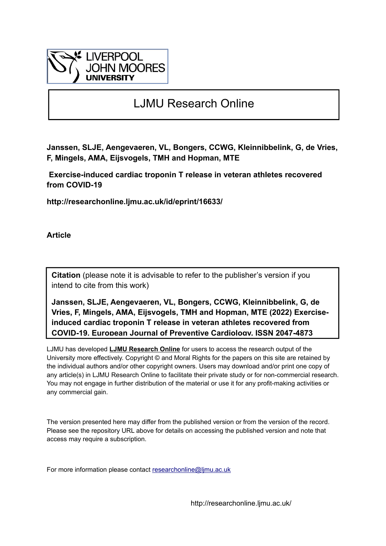

## LJMU Research Online

**Janssen, SLJE, Aengevaeren, VL, Bongers, CCWG, Kleinnibbelink, G, de Vries, F, Mingels, AMA, Eijsvogels, TMH and Hopman, MTE**

 **Exercise-induced cardiac troponin T release in veteran athletes recovered from COVID-19**

**http://researchonline.ljmu.ac.uk/id/eprint/16633/**

**Article**

**Citation** (please note it is advisable to refer to the publisher's version if you intend to cite from this work)

**Janssen, SLJE, Aengevaeren, VL, Bongers, CCWG, Kleinnibbelink, G, de Vries, F, Mingels, AMA, Eijsvogels, TMH and Hopman, MTE (2022) Exerciseinduced cardiac troponin T release in veteran athletes recovered from COVID-19. European Journal of Preventive Cardiology. ISSN 2047-4873** 

LJMU has developed **[LJMU Research Online](http://researchonline.ljmu.ac.uk/)** for users to access the research output of the University more effectively. Copyright © and Moral Rights for the papers on this site are retained by the individual authors and/or other copyright owners. Users may download and/or print one copy of any article(s) in LJMU Research Online to facilitate their private study or for non-commercial research. You may not engage in further distribution of the material or use it for any profit-making activities or any commercial gain.

The version presented here may differ from the published version or from the version of the record. Please see the repository URL above for details on accessing the published version and note that access may require a subscription.

For more information please contact researchonline@limu.ac.uk

http://researchonline.ljmu.ac.uk/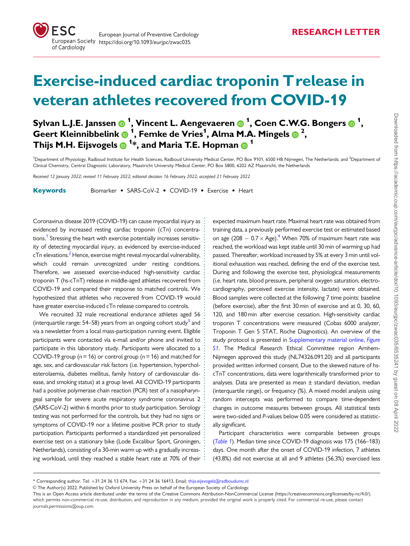<span id="page-1-0"></span>

# Exercise-induced cardiac troponin Trelease in veteran athletes recovered from COVID-19

Sylvan L.J.E. Janssen @ <sup>1</sup>, Vincent L. Aengevaeren @ <sup>1</sup>, Coen C.W.G. Bongers @ <sup>1</sup>, Geert Kleinnibbelink  $\bullet$  <sup>1</sup>, Femke de Vries<sup>1</sup>, Alma M.A. Mingels  $\bullet$  <sup>2</sup>, Thijs M.H. Eijsvogels  $\bm{\textcircled{\textsf{P}}}^{\mathbf 1_\ast}$ , and Maria T.E. Hopman  $\bm{\textcircled{\textsf{P}}}^{\mathbf 1}$ 

<sup>1</sup>Department of Physiology, Radboud Institute for Health Sciences, Radboud University Medical Center, PO Box 9101, 6500 HB Nijmegen, The Netherlands; and <sup>2</sup>Department of Clinical Chemistry, Central Diagnostic Laboratory, Maastricht University Medical Center, PO Box 5800, 6202 AZ Maastricht, the Netherlands

Received 12 January 2022; revised 11 February 2022; editorial decision 16 February 2022; accepted 21 February 2022

Keywords Biomarker • SARS-CoV-2 • COVID-19 • Exercise • Heart

Coronavirus disease 2019 (COVID-19) can cause myocardial injury as evidenced by increased resting cardiac troponin (cTn) concentra-tions.<sup>[1](#page-4-0)</sup> Stressing the heart with exercise potentially increases sensitivity of detecting myocardial injury, as evidenced by exercise-induced cTn elevations.<sup>2</sup> Hence, exercise might reveal myocardial vulnerability, which could remain unrecognized under resting conditions. Therefore, we assessed exercise-induced high-sensitivity cardiac troponin T (hs-cTnT) release in middle-aged athletes recovered from COVID-19 and compared their response to matched controls. We hypothesized that athletes who recovered from COVID-19 would have greater exercise-induced cTn release compared to controls.

We recruited 32 male recreational endurance athletes aged 56 (interquartile range:  $54-58$ ) years from an ongoing cohort study<sup>[3](#page-4-0)</sup> and via a newsletter from a local mass-participation running event. Eligible participants were contacted via e-mail and/or phone and invited to participate in this laboratory study. Participants were allocated to a COVID-19 group ( $n = 16$ ) or control group ( $n = 16$ ) and matched for age, sex, and cardiovascular risk factors (i.e. hypertension, hypercholesterolaemia, diabetes mellitus, family history of cardiovascular disease, and smoking status) at a group level. All COVID-19 participants had a positive polymerase chain reaction (PCR) test of a nasopharyngeal sample for severe acute respiratory syndrome coronavirus 2 (SARS-CoV-2) within 6 months prior to study participation. Serology testing was not performed for the controls, but they had no signs or symptoms of COVID-19 nor a lifetime positive PCR prior to study participation. Participants performed a standardized yet personalized exercise test on a stationary bike (Lode Excalibur Sport, Groningen, Netherlands), consisting of a 30-min warm up with a gradually increasing workload, until they reached a stable heart rate at 70% of their

expected maximum heart rate. Maximal heart rate was obtained from training data, a previously performed exercise test or estimated based on age  $(208 - 0.7 \times \text{Age})$ .<sup>[4](#page-4-0)</sup> When 70% of maximum heart rate was reached, the workload was kept stable until 30 min of warming up had passed. Thereafter, workload increased by 5% at every 3 min until volitional exhaustion was reached, defining the end of the exercise test. During and following the exercise test, physiological measurements (i.e. heart rate, blood pressure, peripheral oxygen saturation, electrocardiography, perceived exercise intensity, lactate) were obtained. Blood samples were collected at the following 7 time points: baseline (before exercise), after the first 30 min of exercise and at 0, 30, 60, 120, and 180 min after exercise cessation. High-sensitivity cardiac troponin T concentrations were measured (Cobas 6000 analyzer, Troponin T Gen 5 STAT, Roche Diagnostics). An overview of the study protocol is presented in [Supplementary material online,](https://academic.oup.com/eurjpc/article-lookup/doi/10.1093/eurjpc/zwac035#supplementary-data) Figure [S1](https://academic.oup.com/eurjpc/article-lookup/doi/10.1093/eurjpc/zwac035#supplementary-data). The Medical Research Ethical Committee region Arnhem-Nijmegen approved this study (NL74326.091.20) and all participants provided written informed consent. Due to the skewed nature of hscTnT concentrations, data were logarithmically transformed prior to analyses. Data are presented as mean ± standard deviation, median (interquartile range), or frequency (%). A mixed model analysis using random intercepts was performed to compare time-dependent changes in outcome measures between groups. All statistical tests were two-sided and P-values below 0.05 were considered as statistically significant.

Participant characteristics were comparable between groups ([Table 1](#page-2-0)). Median time since COVID-19 diagnosis was 175 (166–183) days. One month after the onset of COVID-19 infection, 7 athletes (43.8%) did not exercise at all and 9 athletes (56.3%) exercised less

. . . . . . . . . . . . . . . . . . . . . . . . . . . . . . . . . . . . . . . . . . . . . . . . . . . . . . . . . . . . . . . . . . . . . . . . . . . . . . . . . . . . . . . . . .

<sup>\*</sup> Corresponding author. Tel: +31 24 36 13 674, Fax: +31 24 36 16413, Email: thijs.eijsvogels@radboudumc.nl

V<sup>C</sup> The Author(s) 2022. Published by Oxford University Press on behalf of the European Society of Cardiology.

This is an Open Access article distributed under the terms of the Creative Commons Attribution-NonCommercial License ([https://creativecommons.org/licenses/by-nc/4.0/\)](https://creativecommons.org/licenses/by-nc/4.0/), which permits non-commercial re-use, distribution, and reproduction in any medium, provided the original work is properly cited. For commercial re-use, please contact journals.permissions@oup.com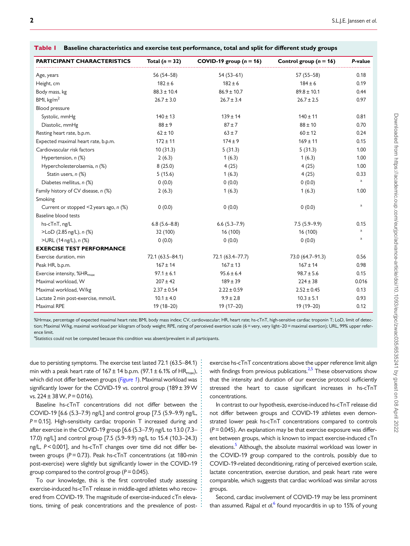| <b>PARTICIPANT CHARACTERISTICS</b>           | Total ( $n = 32$ ) | COVID-19 group $(n = 16)$ | Control group $(n = 16)$ | P-value      |
|----------------------------------------------|--------------------|---------------------------|--------------------------|--------------|
| Age, years                                   | 56 (54–58)         | $54(53-61)$               | 57 (55-58)               | 0.18         |
| Height, cm                                   | $182 \pm 6$        | $182 \pm 6$               | $184 \pm 6$              | 0.19         |
| Body mass, kg                                | $88.3 \pm 10.4$    | $86.9 \pm 10.7$           | $89.8 \pm 10.1$          | 0.44         |
| BMI, $kg/m2$                                 | $26.7 \pm 3.0$     | $26.7 \pm 3.4$            | $26.7 \pm 2.5$           | 0.97         |
| Blood pressure                               |                    |                           |                          |              |
| Systolic, mmHg                               | $140 \pm 13$       | $139 \pm 14$              | $140 \pm 11$             | 0.81         |
| Diastolic, mmHg                              | $88 \pm 9$         | $87 + 7$                  | $88 \pm 10$              | 0.70         |
| Resting heart rate, b.p.m.                   | $62 \pm 10$        | $63 \pm 7$                | $60 \pm 12$              | 0.24         |
| Expected maximal heart rate, b.p.m.          | $172 \pm 11$       | $174 + 9$                 | $169 \pm 11$             | 0.15         |
| Cardiovascular risk factors                  | 10(31.3)           | 5(31.3)                   | 5(31.3)                  | 1.00         |
| Hypertension, n (%)                          | 2(6.3)             | 1(6.3)                    | 1(6.3)                   | 1.00         |
| Hypercholesterolaemia, n (%)                 | 8(25.0)            | 4(25)                     | 4(25)                    | 1.00         |
| Statin users, n (%)                          | 5(15.6)            | 1(6.3)                    | 4(25)                    | 0.33         |
| Diabetes mellitus, n (%)                     | 0(0.0)             | 0(0.0)                    | 0(0.0)                   | $\mathbf{a}$ |
| Family history of CV disease, n (%)          | 2(6.3)             | 1(6.3)                    | 1(6.3)                   | 1.00         |
| Smoking                                      |                    |                           |                          |              |
| Current or stopped $\leq$ 2 years ago, n (%) | 0(0.0)             | 0(0.0)                    | 0(0.0)                   | $\rm{a}$     |
| Baseline blood tests                         |                    |                           |                          |              |
| hs-cTnT, ng/L                                | $6.8(5.6 - 8.8)$   | $6.6(5.3 - 7.9)$          | $7.5(5.9-9.9)$           | 0.15         |
| >LoD (2.85 ng/L), n (%)                      | 32 (100)           | 16 (100)                  | 16 (100)                 | $\mathbf{a}$ |
| >URL (14 ng/L), n (%)                        | 0(0.0)             | 0(0.0)                    | 0(0.0)                   | $\rm{a}$     |
| <b>EXERCISE TEST PERFORMANCE</b>             |                    |                           |                          |              |
| Exercise duration, min                       | 72.1 (63.5-84.1)   | 72.1 (63.4-77.7)          | 73.0 (64.7-91.3)         | 0.56         |
| Peak HR, b.p.m.                              | $167 \pm 14$       | $167 \pm 13$              | $167 \pm 14$             | 0.98         |
| Exercise intensity, %HR <sub>max</sub>       | $97.1 \pm 6.1$     | $95.6 \pm 6.4$            | $98.7 \pm 5.6$           | 0.15         |
| Maximal workload, W                          | $207 \pm 42$       | $189 \pm 39$              | $224 \pm 38$             | 0.016        |
| Maximal workload, W/kg                       | $2.37 \pm 0.54$    | $2.22 \pm 0.59$           | $2.52 \pm 0.45$          | 0.13         |
| Lactate 2 min post-exercise, mmol/L          | $10.1 \pm 4.0$     | $9.9 \pm 2.8$             | $10.3 \pm 5.1$           | 0.93         |
| Maximal RPE                                  | 19 (18-20)         | $19(17-20)$               | 19 (19-20)               | 0.12         |

<span id="page-2-0"></span>Table 1 Baseline characteristics and exercise test performance, total and split for different study groups

%Hrmax, percentage of expected maximal heart rate; BMI, body mass index; CV, cardiovascular; HR, heart rate; hs-cTnT, high-sensitive cardiac troponin T; LoD, limit of detection; Maximal W/kg, maximal workload per kilogram of body weight; RPE, rating of perceived exertion scale (6 = very, very light–20 = maximal exertion); URL, 99% upper reference limit.

> . . . . . . . . . . . . . . . . . . . . . . . . . . . . . . . . . . . . . . . . . . . . . . . . . . . . . .

<sup>a</sup>Statistics could not be computed because this condition was absent/prevalent in all participants.

due to persisting symptoms. The exercise test lasted 72.1 (63.5–84.1) min with a peak heart rate of  $167 \pm 14$  b.p.m. (97.1  $\pm$  6.1% of HR<sub>max</sub>), which did not differ between groups ([Figure 1](#page-3-0)). Maximal workload was significantly lower for the COVID-19 vs. control group (189± 39 W vs.  $224 \pm 38$  W,  $P = 0.016$ ).

Baseline hs-cTnT concentrations did not differ between the COVID-19 [6.6 (5.3–7.9) ng/L] and control group [7.5 (5.9–9.9) ng/L,  $P = 0.15$ ]. High-sensitivity cardiac troponin T increased during and after exercise in the COVID-19 group [6.6 (5.3–7.9) ng/L to 13.0 (7.3– 17.0) ng/L] and control group [7.5 (5.9–9.9) ng/L to 15.4 (10.3–24.3) ng/L, P< 0.001], and hs-cTnT changes over time did not differ between groups ( $P = 0.73$ ). Peak hs-cTnT concentrations (at 180-min post-exercise) were slightly but significantly lower in the COVID-19 group compared to the control group ( $P = 0.045$ ).

To our knowledge, this is the first controlled study assessing exercise-induced hs-cTnT release in middle-aged athletes who recovered from COVID-19. The magnitude of exercise-induced cTn elevations, timing of peak concentrations and the prevalence of postexercise hs-cTnT concentrations above the upper reference limit align with findings from previous publications.<sup>2,[5](#page-4-0)</sup> These observations show that the intensity and duration of our exercise protocol sufficiently stressed the heart to cause significant increases in hs-cTnT concentrations.

In contrast to our hypothesis, exercise-induced hs-cTnT release did not differ between groups and COVID-19 athletes even demonstrated lower peak hs-cTnT concentrations compared to controls  $(P = 0.045)$ . An explanation may be that exercise exposure was different between groups, which is known to impact exercise-induced cTn elevations.<sup>5</sup> Although, the absolute maximal workload was lower in the COVID-19 group compared to the controls, possibly due to COVID-19-related deconditioning, rating of perceived exertion scale, lactate concentration, exercise duration, and peak heart rate were comparable, which suggests that cardiac workload was similar across groups.

Second, cardiac involvement of COVID-19 may be less prominent than assumed. Rajpal et  $al^6$  $al^6$  found myocarditis in up to 15% of young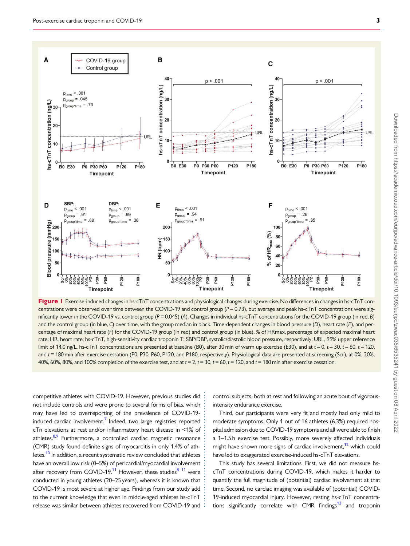<span id="page-3-0"></span>

Figure I Exercise-induced changes in hs-cTnT concentrations and physiological changes during exercise. No differences in changes in hs-cTnT concentrations were observed over time between the COVID-19 and control group ( $P = 0.73$ ), but average and peak hs-cTnT concentrations were significantly lower in the COVID-19 vs. control group (P = 0.045) (A). Changes in individual hs-cTnT concentrations for the COVID-19 group (in red, B) and the control group (in blue, C) over time, with the group median in black. Time-dependent changes in blood pressure (D), heart rate (E), and percentage of maximal heart rate (F) for the COVID-19 group (in red) and control group (in blue). % of HRmax, percentage of expected maximal heart rate; HR, heart rate; hs-cTnT, high-sensitivity cardiac troponin T; SBP/DBP, systolic/diastolic blood pressure, respectively; URL, 99% upper reference limit of 14.0 ng/L. hs-cTnT concentrations are presented at baseline (B0), after 30 min of warm up exercise (E30), and at  $t = 0$ ,  $t = 30$ ,  $t = 60$ ,  $t = 120$ , and t = 180 min after exercise cessation (P0, P30, P60, P120, and P180, respectively). Physiological data are presented at screening (Scr), at 0%, 20%, 40%, 60%, 80%, and 100% completion of the exercise test, and at  $t = 2$ ,  $t = 30$ ,  $t = 60$ ,  $t = 120$ , and  $t = 180$  min after exercise cessation.

. . . . . . . . . . . . . . . . . . . . . . . . . . . . . . . . . . . . . . .

to the current knowledge that even in middle-aged athletes hs-c I n I<br>; release was similar between athletes recovered from COVID-19 and . competitive athletes with COVID-19. However, previous studies did not include controls and were prone to several forms of bias, which may have led to overreporting of the prevalence of COVID-19- induced cardiac involvement.<sup>[7](#page-4-0)</sup> Indeed, two large registries reported cTn elevations at rest and/or inflammatory heart disease in <1% of athletes.<sup>8,9</sup> Furthermore, a controlled cardiac magnetic resonance (CMR) study found definite signs of myocarditis in only 1.4% of athletes.<sup>10</sup> In addition, a recent systematic review concluded that athletes have an overall low risk (0–5%) of pericardial/myocardial involvement after recovery from COVID-19.<sup>[11](#page-4-0)</sup> However, these studies $8-11$  were conducted in young athletes (20–25 years), whereas it is known that COVID-19 is most severe at higher age. Findings from our study add to the current knowledge that even in middle-aged athletes hs-cTnT

control subjects, both at rest and following an acute bout of vigorousintensity endurance exercise.

Third, our participants were very fit and mostly had only mild to moderate symptoms. Only 1 out of 16 athletes (6.3%) required hospital admission due to COVID-19 symptoms and all were able to finish a 1–1.5 h exercise test. Possibly, more severely affected individuals might have shown more signs of cardiac involvement,<sup>12</sup> which could have led to exaggerated exercise-induced hs-cTnT elevations.

This study has several limitations. First, we did not measure hscTnT concentrations during COVID-19, which makes it harder to quantify the full magnitude of (potential) cardiac involvement at that time. Second, no cardiac imaging was available of (potential) COVID-19-induced myocardial injury. However, resting hs-cTnT concentrations significantly correlate with CMR findings $^{13}$  and troponin